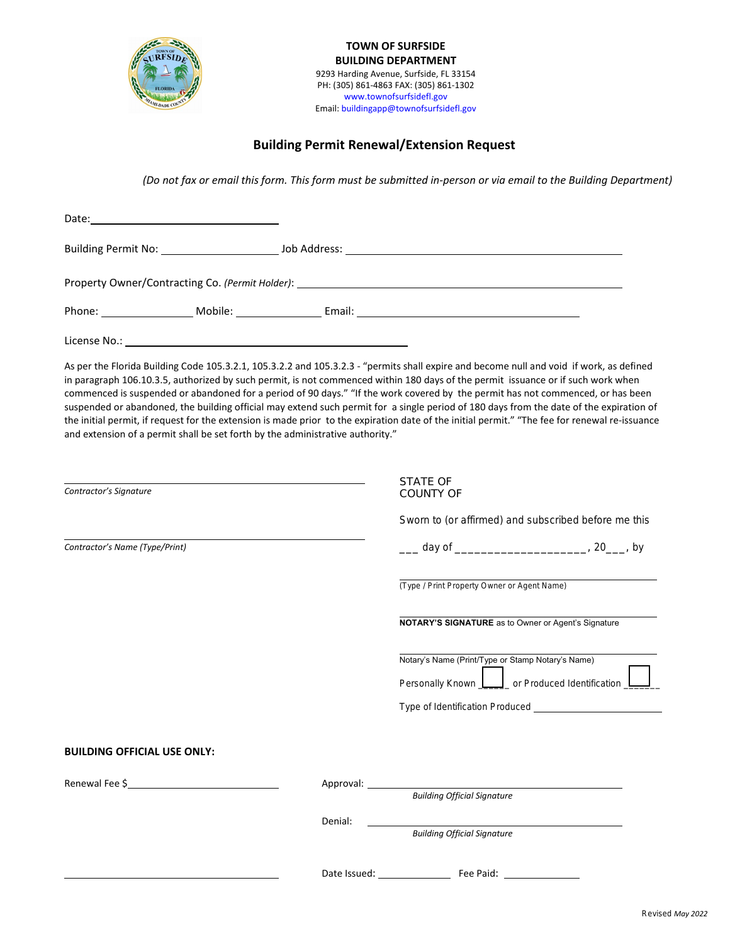

**TOWN OF SURFSIDE BUILDING DEPARTMENT** 9293 Harding Avenue, Surfside, FL 33154 PH: (305) 861-4863 FAX: (305) 861-1302 www.townofsurfsidefl.gov Email: buildingapp@townofsurfsidefl.gov

## **Building Permit Renewal/Extension Request**

*(Do not fax or email this form. This form must be submitted in-person or via email to the Building Department)* 

| Date: Date: Date: Date: Date: Date: Date: Date: Date: Date: Date: Date: Date: Date: Date: Date: Date: Date: Date: Date: Date: Date: Date: Date: Date: Date: Date: Date: Date: Date: Date: Date: Date: Date: Date: Date: Date: |  |                                                                                |                                                                                                                                                                                                                                                                                                                                                                                                                                                                                                                                                                                                                                                                                                              |  |  |
|-------------------------------------------------------------------------------------------------------------------------------------------------------------------------------------------------------------------------------|--|--------------------------------------------------------------------------------|--------------------------------------------------------------------------------------------------------------------------------------------------------------------------------------------------------------------------------------------------------------------------------------------------------------------------------------------------------------------------------------------------------------------------------------------------------------------------------------------------------------------------------------------------------------------------------------------------------------------------------------------------------------------------------------------------------------|--|--|
|                                                                                                                                                                                                                               |  |                                                                                |                                                                                                                                                                                                                                                                                                                                                                                                                                                                                                                                                                                                                                                                                                              |  |  |
|                                                                                                                                                                                                                               |  |                                                                                | Property Owner/Contracting Co. (Permit Holder): _________________________________                                                                                                                                                                                                                                                                                                                                                                                                                                                                                                                                                                                                                            |  |  |
|                                                                                                                                                                                                                               |  |                                                                                |                                                                                                                                                                                                                                                                                                                                                                                                                                                                                                                                                                                                                                                                                                              |  |  |
|                                                                                                                                                                                                                               |  |                                                                                |                                                                                                                                                                                                                                                                                                                                                                                                                                                                                                                                                                                                                                                                                                              |  |  |
|                                                                                                                                                                                                                               |  | and extension of a permit shall be set forth by the administrative authority." | As per the Florida Building Code 105.3.2.1, 105.3.2.2 and 105.3.2.3 - "permits shall expire and become null and void if work, as defined<br>in paragraph 106.10.3.5, authorized by such permit, is not commenced within 180 days of the permit issuance or if such work when<br>commenced is suspended or abandoned for a period of 90 days." "If the work covered by the permit has not commenced, or has been<br>suspended or abandoned, the building official may extend such permit for a single period of 180 days from the date of the expiration of<br>the initial permit, if request for the extension is made prior to the expiration date of the initial permit." "The fee for renewal re-issuance |  |  |
| Contractor's Signature                                                                                                                                                                                                        |  |                                                                                | STATE OF<br><b>COUNTY OF</b>                                                                                                                                                                                                                                                                                                                                                                                                                                                                                                                                                                                                                                                                                 |  |  |
|                                                                                                                                                                                                                               |  |                                                                                | Sworn to (or affirmed) and subscribed before me this                                                                                                                                                                                                                                                                                                                                                                                                                                                                                                                                                                                                                                                         |  |  |
| Contractor's Name (Type/Print)                                                                                                                                                                                                |  |                                                                                |                                                                                                                                                                                                                                                                                                                                                                                                                                                                                                                                                                                                                                                                                                              |  |  |
|                                                                                                                                                                                                                               |  |                                                                                | (Type / Print Property Owner or Agent Name)                                                                                                                                                                                                                                                                                                                                                                                                                                                                                                                                                                                                                                                                  |  |  |
|                                                                                                                                                                                                                               |  |                                                                                | NOTARY'S SIGNATURE as to Owner or Agent's Signature                                                                                                                                                                                                                                                                                                                                                                                                                                                                                                                                                                                                                                                          |  |  |
|                                                                                                                                                                                                                               |  |                                                                                | Notary's Name (Print/Type or Stamp Notary's Name)                                                                                                                                                                                                                                                                                                                                                                                                                                                                                                                                                                                                                                                            |  |  |
|                                                                                                                                                                                                                               |  |                                                                                | Personally Known <b>Letter</b> or Produced Identification                                                                                                                                                                                                                                                                                                                                                                                                                                                                                                                                                                                                                                                    |  |  |
|                                                                                                                                                                                                                               |  |                                                                                |                                                                                                                                                                                                                                                                                                                                                                                                                                                                                                                                                                                                                                                                                                              |  |  |
| <b>BUILDING OFFICIAL USE ONLY:</b>                                                                                                                                                                                            |  |                                                                                |                                                                                                                                                                                                                                                                                                                                                                                                                                                                                                                                                                                                                                                                                                              |  |  |
|                                                                                                                                                                                                                               |  | Approval: 2000                                                                 | <b>Building Official Signature</b>                                                                                                                                                                                                                                                                                                                                                                                                                                                                                                                                                                                                                                                                           |  |  |
|                                                                                                                                                                                                                               |  | Denial:                                                                        | <b>Building Official Signature</b>                                                                                                                                                                                                                                                                                                                                                                                                                                                                                                                                                                                                                                                                           |  |  |
|                                                                                                                                                                                                                               |  |                                                                                |                                                                                                                                                                                                                                                                                                                                                                                                                                                                                                                                                                                                                                                                                                              |  |  |